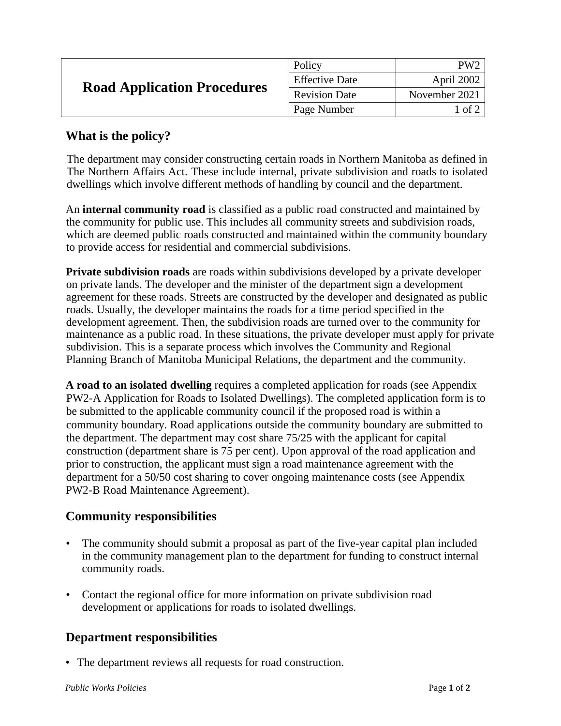| <b>Road Application Procedures</b> | Policy                | PW <sub>2</sub>  |
|------------------------------------|-----------------------|------------------|
|                                    | <b>Effective Date</b> | April 2002       |
|                                    | <b>Revision Date</b>  | November 2021    |
|                                    | Page Number           | $1$ of $\degree$ |

## **What is the policy?**

The department may consider constructing certain roads in Northern Manitoba as defined in The Northern Affairs Act. These include internal, private subdivision and roads to isolated dwellings which involve different methods of handling by council and the department.

An **internal community road** is classified as a public road constructed and maintained by the community for public use. This includes all community streets and subdivision roads, which are deemed public roads constructed and maintained within the community boundary to provide access for residential and commercial subdivisions.

**Private subdivision roads** are roads within subdivisions developed by a private developer on private lands. The developer and the minister of the department sign a development agreement for these roads. Streets are constructed by the developer and designated as public roads. Usually, the developer maintains the roads for a time period specified in the development agreement. Then, the subdivision roads are turned over to the community for maintenance as a public road. In these situations, the private developer must apply for private subdivision. This is a separate process which involves the Community and Regional Planning Branch of Manitoba Municipal Relations, the department and the community.

**A road to an isolated dwelling** requires a completed application for roads (see Appendix PW2-A Application for Roads to Isolated Dwellings). The completed application form is to be submitted to the applicable community council if the proposed road is within a community boundary. Road applications outside the community boundary are submitted to the department. The department may cost share 75/25 with the applicant for capital construction (department share is 75 per cent). Upon approval of the road application and prior to construction, the applicant must sign a road maintenance agreement with the department for a 50/50 cost sharing to cover ongoing maintenance costs (see Appendix PW2-B Road Maintenance Agreement).

## **Community responsibilities**

- The community should submit a proposal as part of the five-year capital plan included in the community management plan to the department for funding to construct internal community roads.
- Contact the regional office for more information on private subdivision road development or applications for roads to isolated dwellings.

## **Department responsibilities**

• The department reviews all requests for road construction.